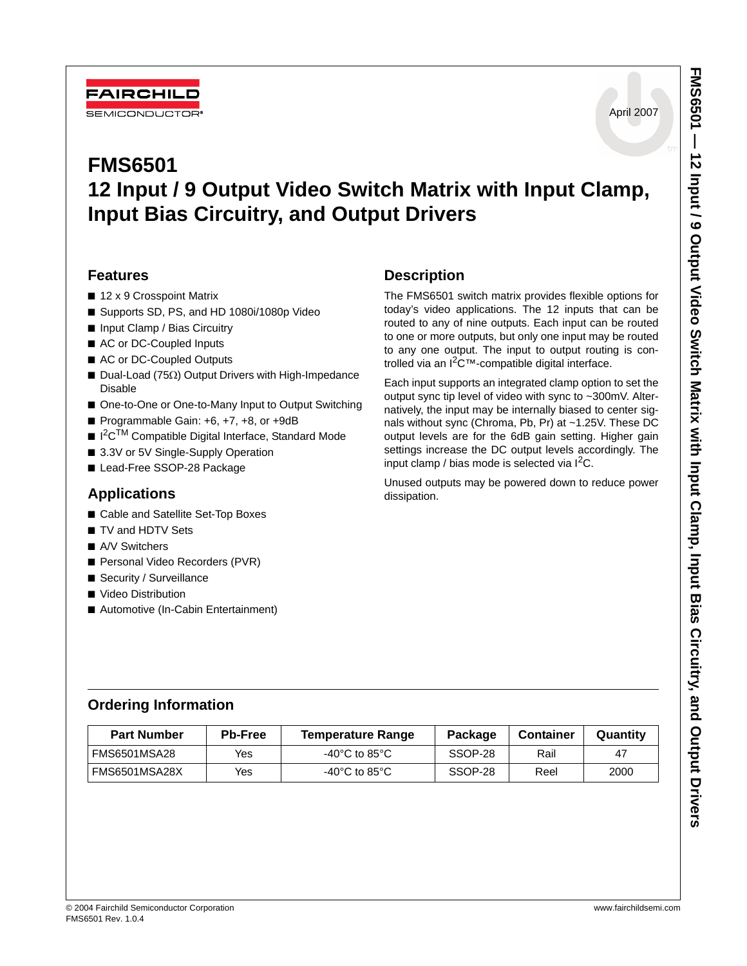

# **FMS6501 12 Input / 9 Output Video Switch Matrix with Input Clamp, Input Bias Circuitry, and Output Drivers**

### **Features**

- 12 x 9 Crosspoint Matrix
- Supports SD, PS, and HD 1080i/1080p Video
- Input Clamp / Bias Circuitry
- AC or DC-Coupled Inputs
- AC or DC-Coupled Outputs
- Dual-Load (75Ω) Output Drivers with High-Impedance Disable
- One-to-One or One-to-Many Input to Output Switching
- Programmable Gain: +6, +7, +8, or +9dB
- I<sup>2</sup>C<sup>TM</sup> Compatible Digital Interface, Standard Mode
- 3.3V or 5V Single-Supply Operation
- Lead-Free SSOP-28 Package

### **Applications**

- Cable and Satellite Set-Top Boxes
- TV and HDTV Sets
- A/V Switchers
- Personal Video Recorders (PVR)
- Security / Surveillance
- Video Distribution
- Automotive (In-Cabin Entertainment)

### **Description**

The FMS6501 switch matrix provides flexible options for today's video applications. The 12 inputs that can be routed to any of nine outputs. Each input can be routed to one or more outputs, but only one input may be routed to any one output. The input to output routing is controlled via an  $1^2C^{\tau}$ -compatible digital interface.

Each input supports an integrated clamp option to set the output sync tip level of video with sync to ~300mV. Alternatively, the input may be internally biased to center signals without sync (Chroma, Pb, Pr) at ~1.25V. These DC output levels are for the 6dB gain setting. Higher gain settings increase the DC output levels accordingly. The input clamp / bias mode is selected via  $I^2C$ .

Unused outputs may be powered down to reduce power dissipation.

### **Ordering Information**

| <b>Part Number</b><br><b>Pb-Free</b> |     | <b>Temperature Range</b>            | Package | <b>Container</b> | Quantity |
|--------------------------------------|-----|-------------------------------------|---------|------------------|----------|
| <b>FMS6501MSA28</b>                  | Yes | -40 $^{\circ}$ C to 85 $^{\circ}$ C | SSOP-28 | Rail             | 47       |
| <b>FMS6501MSA28X</b>                 | Yes | -40 $^{\circ}$ C to 85 $^{\circ}$ C | SSOP-28 | Reel             | 2000     |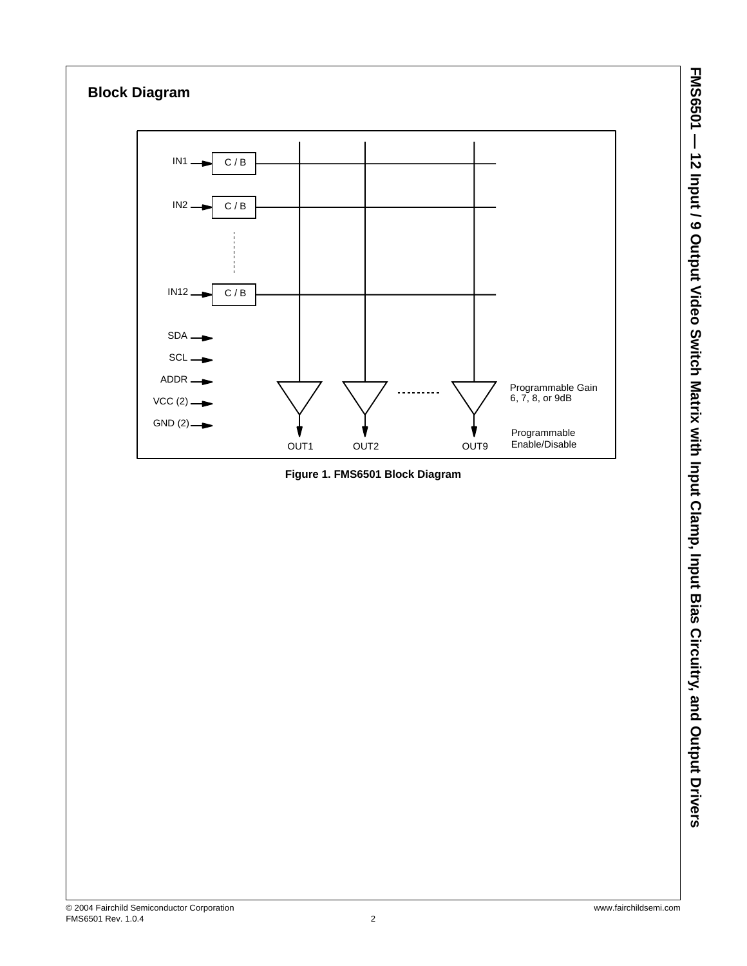

**FMS6501 — 12 Input / 9 Output Video Switch Matrix with Input Clamp, Input Bias Circuitry, and Output Drivers**

FMS6501 - 12 Input / 9 Output Video Switch Matrix with Input Clamp, Clamp, Input Bias Circuitry, and Output Drivers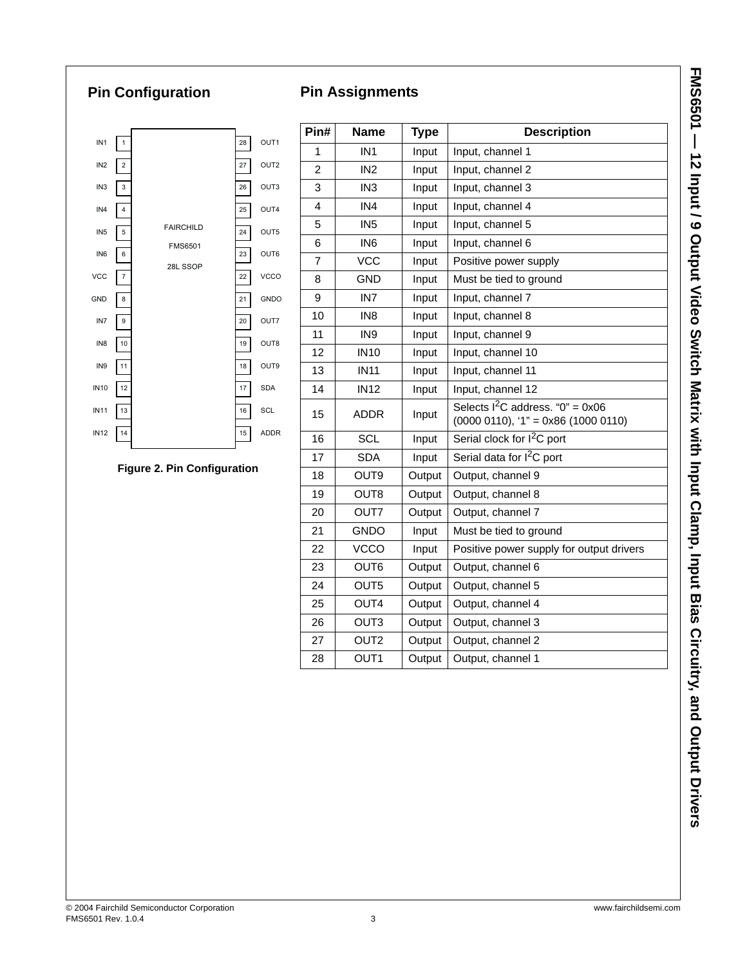# **Pin Configuration**

### **Pin Assignments**



#### **Figure 2. Pin Configuration**

| Pin#           | <b>Name</b>      | <b>Type</b> | <b>Description</b>                                                          |
|----------------|------------------|-------------|-----------------------------------------------------------------------------|
| 1              | IN <sub>1</sub>  | Input       | Input, channel 1                                                            |
| $\overline{2}$ | IN <sub>2</sub>  | Input       | Input, channel 2                                                            |
| 3              | IN <sub>3</sub>  | Input       | Input, channel 3                                                            |
| 4              | IN4              | Input       | Input, channel 4                                                            |
| 5              | IN <sub>5</sub>  | Input       | Input, channel 5                                                            |
| 6              | IN <sub>6</sub>  | Input       | Input, channel 6                                                            |
| $\overline{7}$ | <b>VCC</b>       | Input       | Positive power supply                                                       |
| 8              | <b>GND</b>       | Input       | Must be tied to ground                                                      |
| 9              | IN <sub>7</sub>  | Input       | Input, channel 7                                                            |
| 10             | IN <sub>8</sub>  | Input       | Input, channel 8                                                            |
| 11             | IN <sub>9</sub>  | Input       | Input, channel 9                                                            |
| 12             | <b>IN10</b>      | Input       | Input, channel 10                                                           |
| 13             | <b>IN11</b>      | Input       | Input, channel 11                                                           |
| 14             | <b>IN12</b>      | Input       | Input, channel 12                                                           |
| 15             | <b>ADDR</b>      | Input       | Selects $1^2C$ address. "0" = 0x06<br>$(0000 0110), '1" = 0x86 (1000 0110)$ |
| 16             | <b>SCL</b>       | Input       | Serial clock for I <sup>2</sup> C port                                      |
| 17             | <b>SDA</b>       | Input       | Serial data for I <sup>2</sup> C port                                       |
| 18             | OUT9             | Output      | Output, channel 9                                                           |
| 19             | OUT8             | Output      | Output, channel 8                                                           |
| 20             | OUT7             | Output      | Output, channel 7                                                           |
| 21             | GNDO             | Input       | Must be tied to ground                                                      |
| 22             | <b>VCCO</b>      | Input       | Positive power supply for output drivers                                    |
| 23             | OUT6             | Output      | Output, channel 6                                                           |
| 24             | OUT5             | Output      | Output, channel 5                                                           |
| 25             | OUT4             | Output      | Output, channel 4                                                           |
| 26             | OUT3             | Output      | Output, channel 3                                                           |
| 27             | OUT <sub>2</sub> | Output      | Output, channel 2                                                           |
| 28             | OUT1             | Output      | Output, channel 1                                                           |
|                |                  |             |                                                                             |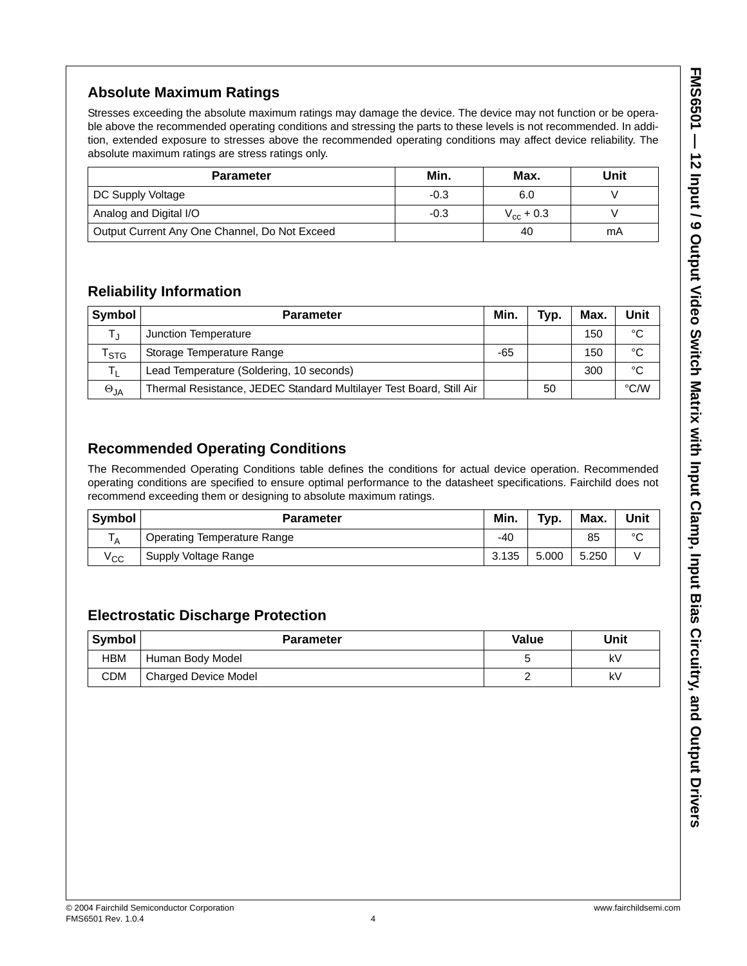# **Absolute Maximum Ratings**

Stresses exceeding the absolute maximum ratings may damage the device. The device may not function or be operable above the recommended operating conditions and stressing the parts to these levels is not recommended. In addition, extended exposure to stresses above the recommended operating conditions may affect device reliability. The absolute maximum ratings are stress ratings only.

| <b>Parameter</b>                              | Min.   | Max.           | Unit |
|-----------------------------------------------|--------|----------------|------|
| DC Supply Voltage                             | $-0.3$ | 6.0            |      |
| Analog and Digital I/O                        | $-0.3$ | $V_{cr}$ + 0.3 |      |
| Output Current Any One Channel, Do Not Exceed |        | 40             | mA   |

# **Reliability Information**

| Symbol        | <b>Parameter</b>                                                    | Min. | Typ. | Max. | Unit |
|---------------|---------------------------------------------------------------------|------|------|------|------|
|               | Junction Temperature                                                |      |      | 150  | °C   |
| l stg         | Storage Temperature Range                                           | -65  |      | 150  | °C   |
|               | Lead Temperature (Soldering, 10 seconds)                            |      |      | 300  | °C   |
| $\Theta_{JA}$ | Thermal Resistance, JEDEC Standard Multilayer Test Board, Still Air |      | 50   |      | °C/W |

# **Recommended Operating Conditions**

The Recommended Operating Conditions table defines the conditions for actual device operation. Recommended operating conditions are specified to ensure optimal performance to the datasheet specifications. Fairchild does not recommend exceeding them or designing to absolute maximum ratings.

| Symbol       | <b>Parameter</b>                   | Min.  | Typ.  | Max.  | Unit        |
|--------------|------------------------------------|-------|-------|-------|-------------|
| ΙΔ           | <b>Operating Temperature Range</b> | -40   |       | 85    | $\sim$<br>ັ |
| $V_{\rm CC}$ | Supply Voltage Range               | 3.135 | 5.000 | 5.250 |             |

# **Electrostatic Discharge Protection**

| Symbol     | <b>Parameter</b>     | Value | Unit |
|------------|----------------------|-------|------|
| <b>HBM</b> | Human Body Model     |       | k٧   |
| <b>CDM</b> | Charged Device Model |       | k٧   |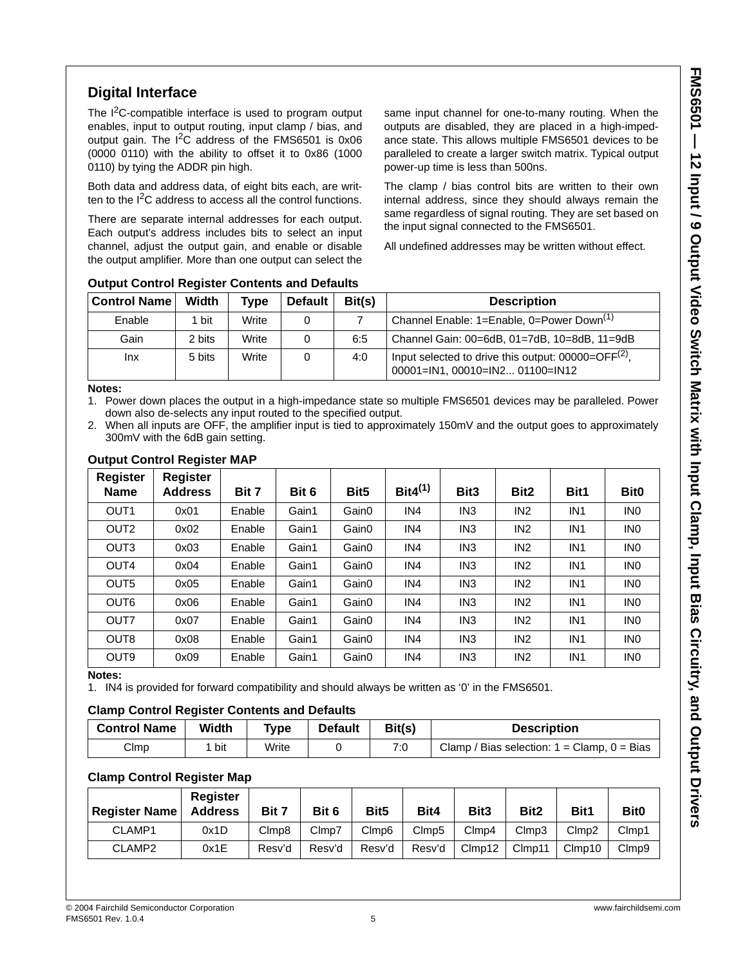### **Digital Interface**

The  $1<sup>2</sup>C$ -compatible interface is used to program output enables, input to output routing, input clamp / bias, and output gain. The  $I^2C$  address of the FMS6501 is 0x06 (0000 0110) with the ability to offset it to 0x86 (1000 0110) by tying the ADDR pin high.

Both data and address data, of eight bits each, are written to the  $I<sup>2</sup>C$  address to access all the control functions.

There are separate internal addresses for each output. Each output's address includes bits to select an input channel, adjust the output gain, and enable or disable the output amplifier. More than one output can select the

same input channel for one-to-many routing. When the outputs are disabled, they are placed in a high-impedance state. This allows multiple FMS6501 devices to be paralleled to create a larger switch matrix. Typical output power-up time is less than 500ns.

The clamp / bias control bits are written to their own internal address, since they should always remain the same regardless of signal routing. They are set based on the input signal connected to the FMS6501.

All undefined addresses may be written without effect.

| Control Name | Width  | Type  | <b>Default</b> | Bit(s) | <b>Description</b>                                                                       |
|--------------|--------|-------|----------------|--------|------------------------------------------------------------------------------------------|
| Enable       | bit    | Write |                |        | Channel Enable: 1=Enable, 0=Power Down <sup>(1)</sup>                                    |
| Gain         | 2 bits | Write |                | 6:5    | Channel Gain: 00=6dB, 01=7dB, 10=8dB, 11=9dB                                             |
| Inx          | 5 bits | Write |                | 4:0    | Input selected to drive this output: $00000=OFF(2)$ ,<br>00001=IN1, 00010=IN2 01100=IN12 |

### **Output Control Register Contents and Defaults**

#### **Notes:**

1. Power down places the output in a high-impedance state so multiple FMS6501 devices may be paralleled. Power down also de-selects any input routed to the specified output.

2. When all inputs are OFF, the amplifier input is tied to approximately 150mV and the output goes to approximately 300mV with the 6dB gain setting.

| <b>Register</b><br><b>Name</b> | <b>Register</b><br><b>Address</b> | Bit 7  | Bit 6 | Bit <sub>5</sub> | Bit $4^{(1)}$   | Bit <sub>3</sub> | Bit <sub>2</sub> | Bit1            | Bit <sub>0</sub> |
|--------------------------------|-----------------------------------|--------|-------|------------------|-----------------|------------------|------------------|-----------------|------------------|
| OUT <sub>1</sub>               | 0x01                              | Enable | Gain1 | Gain0            | IN4             | IN <sub>3</sub>  | IN <sub>2</sub>  | IN <sub>1</sub> | <b>INO</b>       |
| OUT <sub>2</sub>               | 0x02                              | Enable | Gain1 | Gain0            | IN <sub>4</sub> | IN <sub>3</sub>  | IN <sub>2</sub>  | IN <sub>1</sub> | <b>INO</b>       |
| OUT <sub>3</sub>               | 0x03                              | Enable | Gain1 | Gain0            | IN <sub>4</sub> | IN <sub>3</sub>  | IN <sub>2</sub>  | IN <sub>1</sub> | <b>INO</b>       |
| OUT4                           | 0x04                              | Enable | Gain1 | Gain0            | IN <sub>4</sub> | IN <sub>3</sub>  | IN <sub>2</sub>  | IN <sub>1</sub> | <b>INO</b>       |
| OUT <sub>5</sub>               | 0x05                              | Enable | Gain1 | Gain0            | IN <sub>4</sub> | IN <sub>3</sub>  | IN <sub>2</sub>  | IN <sub>1</sub> | IN <sub>0</sub>  |
| OUT <sub>6</sub>               | 0x06                              | Enable | Gain1 | Gain0            | IN <sub>4</sub> | IN <sub>3</sub>  | IN <sub>2</sub>  | IN <sub>1</sub> | IN <sub>0</sub>  |
| OUT7                           | 0x07                              | Enable | Gain1 | Gain0            | IN <sub>4</sub> | IN <sub>3</sub>  | IN <sub>2</sub>  | IN <sub>1</sub> | IN <sub>0</sub>  |
| OUT <sub>8</sub>               | 0x08                              | Enable | Gain1 | Gain0            | IN <sub>4</sub> | IN <sub>3</sub>  | IN <sub>2</sub>  | IN <sub>1</sub> | IN <sub>0</sub>  |
| OUT <sub>9</sub>               | 0x09                              | Enable | Gain1 | Gain0            | IN <sub>4</sub> | IN <sub>3</sub>  | IN <sub>2</sub>  | IN <sub>1</sub> | IN <sub>0</sub>  |

#### **Output Control Register MAP**

#### **Notes:**

1. IN4 is provided for forward compatibility and should always be written as '0' in the FMS6501.

#### **Clamp Control Register Contents and Defaults**

| <b>Control Name</b> | Width | Type  | <b>Default</b> | Bit(s) | <b>Description</b>                                             |
|---------------------|-------|-------|----------------|--------|----------------------------------------------------------------|
| CImp                | bit   | Write |                | 7:0    | Clamp / Bias selection: $1 = \text{Clamp}$ , $0 = \text{Bias}$ |

### **Clamp Control Register Map**

| <b>Register Name</b> | Register<br><b>Address</b> | Bit 7  | Bit 6  | Bit <sub>5</sub> | Bit4   | Bit <sub>3</sub> | Bit2   | Bit1      | Bit <sub>0</sub> |
|----------------------|----------------------------|--------|--------|------------------|--------|------------------|--------|-----------|------------------|
| CLAMP1               | 0x1D                       | Clmp8  | Clmp7  | Clmp6            | Clmp5  | Clmp4            | Clmp3  | Clmp2     | Clmp1            |
| CLAMP <sub>2</sub>   | 0x1E                       | Resv'd | Resv'd | Resv'd           | Resv'd | Clmp12           | Clmp11 | $C$ Imp10 | CImp9            |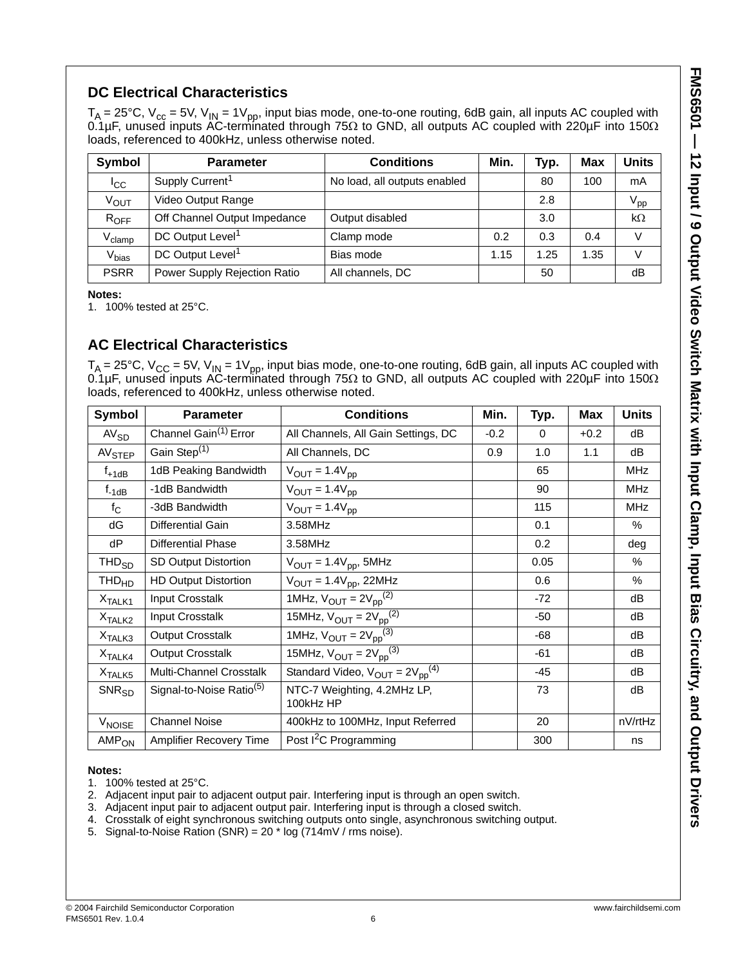# **DC Electrical Characteristics**

 $T_\mathsf{A}$  = 25°C, V<sub>cc</sub> = 5V, V<sub>IN</sub> = 1V<sub>pp</sub>, input bias mode, one-to-one routing, 6dB gain, all inputs AC coupled with 0.1μF, unused inputs AC-terminated through 75Ω to GND, all outputs AC coupled with 220μF into 150Ω loads, referenced to 400kHz, unless otherwise noted.

| Symbol             | <b>Parameter</b>             | <b>Conditions</b>            | Min. | Typ. | <b>Max</b> | <b>Units</b>    |
|--------------------|------------------------------|------------------------------|------|------|------------|-----------------|
| <b>I</b> CC        | Supply Current <sup>1</sup>  | No load, all outputs enabled |      | 80   | 100        | mA              |
| V <sub>OUT</sub>   | Video Output Range           |                              |      | 2.8  |            | $V_{\text{pp}}$ |
| $R_{OFF}$          | Off Channel Output Impedance | Output disabled              |      | 3.0  |            | $k\Omega$       |
| $V_{\text{clamp}}$ | DC Output Level <sup>1</sup> | Clamp mode                   | 0.2  | 0.3  | 0.4        | v               |
| V <sub>bias</sub>  | DC Output Level <sup>1</sup> | Bias mode                    | 1.15 | 1.25 | 1.35       | v               |
| <b>PSRR</b>        | Power Supply Rejection Ratio | All channels, DC             |      | 50   |            | dB              |

**Notes:**

1. 100% tested at 25°C.

### **AC Electrical Characteristics**

 $T_\mathsf{A}$  = 25°C, V<sub>CC</sub> = 5V, V<sub>IN</sub> = 1V<sub>pp</sub>, input bias mode, one-to-one routing, 6dB gain, all inputs AC coupled with 0.1μF, unused inputs AC-terminated through 75Ω to GND, all outputs AC coupled with 220μF into 150Ω loads, referenced to 400kHz, unless otherwise noted.

| Symbol             | <b>Parameter</b>                     | <b>Conditions</b>                                       | Min.   | Typ.     | <b>Max</b> | <b>Units</b> |
|--------------------|--------------------------------------|---------------------------------------------------------|--------|----------|------------|--------------|
| AV <sub>SD</sub>   | Channel Gain <sup>(1)</sup> Error    | All Channels, All Gain Settings, DC                     | $-0.2$ | $\Omega$ | $+0.2$     | dB           |
| AV <sub>STEP</sub> | Gain Step <sup>(1)</sup>             | All Channels, DC                                        | 0.9    | 1.0      | 1.1        | dB           |
| $f_{+1dB}$         | 1dB Peaking Bandwidth                | $V_{OUT} = 1.4V_{DD}$                                   |        | 65       |            | <b>MHz</b>   |
| $f_{-1dB}$         | -1dB Bandwidth                       | $V_{OUT} = 1.4V_{DD}$                                   |        | 90       |            | <b>MHz</b>   |
| $f_{\rm C}$        | -3dB Bandwidth                       | $V_{OUT} = 1.4V_{DD}$                                   |        | 115      |            | <b>MHz</b>   |
| dG                 | <b>Differential Gain</b>             | 3.58MHz                                                 |        | 0.1      |            | $\%$         |
| dP                 | <b>Differential Phase</b>            | 3.58MHz                                                 |        | 0.2      |            | deg          |
| THD <sub>SD</sub>  | SD Output Distortion                 | $V_{OUT} = 1.4V_{pp}$ , 5MHz                            |        | 0.05     |            | $\%$         |
| $THD_{HD}$         | <b>HD Output Distortion</b>          | $V_{OUT} = 1.4V_{pp}$ , 22MHz                           |        | 0.6      |            | $\%$         |
| X <sub>TALK1</sub> | Input Crosstalk                      | 1MHz, $V_{OUT} = 2V_{pp}^{(2)}$                         |        | $-72$    |            | dB           |
| X <sub>TALK2</sub> | Input Crosstalk                      | 15MHz, $V_{OUT} = 2V_{pp}^{(2)}$                        |        | $-50$    |            | dB           |
| X <sub>TALK3</sub> | <b>Output Crosstalk</b>              | 1MHz, $V_{OUT} = 2V_{pp}^{(3)}$                         |        | $-68$    |            | dB           |
| X <sub>TALK4</sub> | <b>Output Crosstalk</b>              | 15MHz, $V_{OUT} = 2V_{pp}^{(3)}$                        |        | $-61$    |            | dB           |
| X <sub>TALK5</sub> | Multi-Channel Crosstalk              | Standard Video, $V_{\text{OUT}} = 2V_{\text{DD}}^{(4)}$ |        | $-45$    |            | dB           |
| $SNR_{SD}$         | Signal-to-Noise Ratio <sup>(5)</sup> | NTC-7 Weighting, 4.2MHz LP,<br>100kHz HP                |        | 73       |            | dB           |
| V <sub>NOISE</sub> | <b>Channel Noise</b>                 | 400kHz to 100MHz, Input Referred                        |        | 20       |            | nV/rtHz      |
| $AMP_{ON}$         | Amplifier Recovery Time              | Post I <sup>2</sup> C Programming                       |        | 300      |            | ns           |

#### **Notes:**

- 1. 100% tested at 25°C.
- 2. Adjacent input pair to adjacent output pair. Interfering input is through an open switch.
- 3. Adjacent input pair to adjacent output pair. Interfering input is through a closed switch.
- 4. Crosstalk of eight synchronous switching outputs onto single, asynchronous switching output.
- 5. Signal-to-Noise Ration (SNR) = 20 \* log (714mV / rms noise).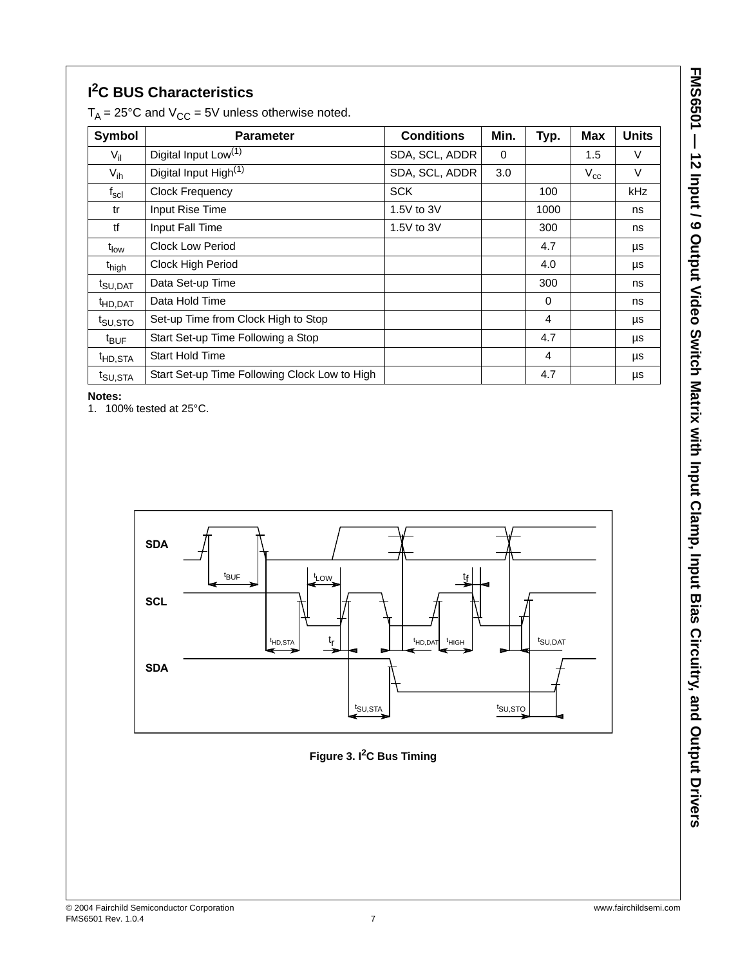# **I 2C BUS Characteristics**

| <b>Parameter</b>                                           | <b>Conditions</b> | Min.                         | Typ.     | <b>Max</b> | <b>Units</b> |
|------------------------------------------------------------|-------------------|------------------------------|----------|------------|--------------|
| Digital Input Low <sup>(1)</sup><br>$V_{\parallel}$        |                   | $\Omega$                     |          | 1.5        | V            |
| Digital Input High <sup>(1)</sup>                          | SDA, SCL, ADDR    | 3.0                          |          | $V_{cc}$   | $\vee$       |
| <b>Clock Frequency</b><br>$f_{\rm scl}$                    |                   |                              | 100      |            | kHz          |
| Input Rise Time                                            | 1.5V to 3V        |                              | 1000     |            | ns           |
| Input Fall Time                                            | 1.5V to 3V        |                              | 300      |            | ns           |
| <b>Clock Low Period</b>                                    |                   |                              | 4.7      |            | μs           |
| Clock High Period                                          |                   |                              | 4.0      |            | μs           |
| Data Set-up Time                                           |                   |                              | 300      |            | ns           |
| Data Hold Time<br><sup>t</sup> HD,DAT                      |                   |                              | $\Omega$ |            | ns           |
| Set-up Time from Clock High to Stop<br>t <sub>SU,STO</sub> |                   |                              | 4        |            | μs           |
| Start Set-up Time Following a Stop<br>$t_{\text{BUF}}$     |                   |                              | 4.7      |            | μs           |
| <b>Start Hold Time</b>                                     |                   |                              | 4        |            | μs           |
| Start Set-up Time Following Clock Low to High              |                   |                              | 4.7      |            | μs           |
|                                                            |                   | SDA, SCL, ADDR<br><b>SCK</b> |          |            |              |

 $T_A = 25^{\circ}$ C and  $V_{CC} = 5V$  unless otherwise noted.

**Notes:**

1. 100% tested at 25°C.



**Figure 3. I2C Bus Timing**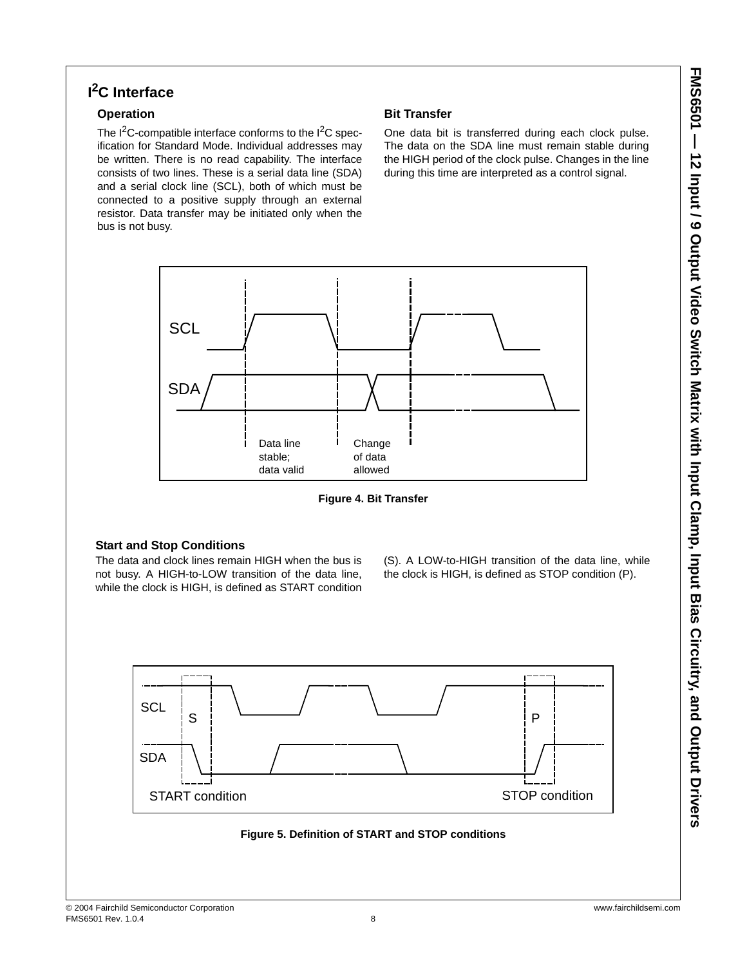# **I 2C Interface**

### **Operation**

The  $1^2C$ -compatible interface conforms to the  $1^2C$  specification for Standard Mode. Individual addresses may be written. There is no read capability. The interface consists of two lines. These is a serial data line (SDA) and a serial clock line (SCL), both of which must be connected to a positive supply through an external resistor. Data transfer may be initiated only when the bus is not busy.

### **Bit Transfer**

One data bit is transferred during each clock pulse. The data on the SDA line must remain stable during the HIGH period of the clock pulse. Changes in the line during this time are interpreted as a control signal.



**Figure 4. Bit Transfer**

### **Start and Stop Conditions**

The data and clock lines remain HIGH when the bus is not busy. A HIGH-to-LOW transition of the data line, while the clock is HIGH, is defined as START condition (S). A LOW-to-HIGH transition of the data line, while the clock is HIGH, is defined as STOP condition (P).



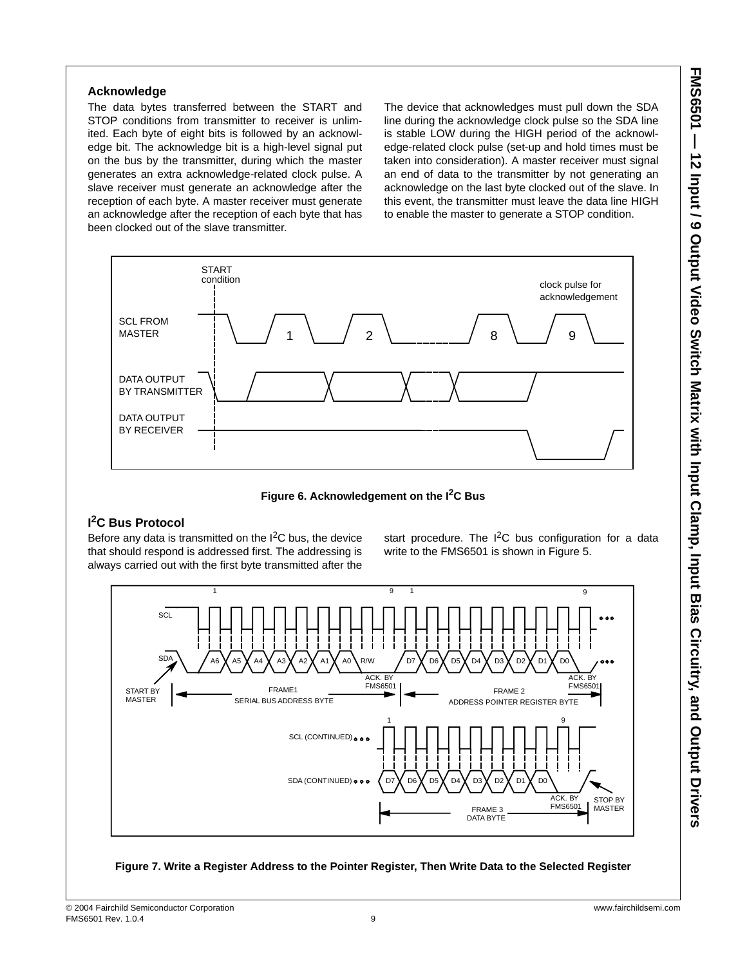### **Acknowledge**

The data bytes transferred between the START and STOP conditions from transmitter to receiver is unlimited. Each byte of eight bits is followed by an acknowledge bit. The acknowledge bit is a high-level signal put on the bus by the transmitter, during which the master generates an extra acknowledge-related clock pulse. A slave receiver must generate an acknowledge after the reception of each byte. A master receiver must generate an acknowledge after the reception of each byte that has been clocked out of the slave transmitter.

The device that acknowledges must pull down the SDA line during the acknowledge clock pulse so the SDA line is stable LOW during the HIGH period of the acknowledge-related clock pulse (set-up and hold times must be taken into consideration). A master receiver must signal an end of data to the transmitter by not generating an acknowledge on the last byte clocked out of the slave. In this event, the transmitter must leave the data line HIGH to enable the master to generate a STOP condition.



Figure 6. Acknowledgement on the I<sup>2</sup>C Bus

### **I 2C Bus Protocol**

Before any data is transmitted on the  $I^2C$  bus, the device that should respond is addressed first. The addressing is always carried out with the first byte transmitted after the start procedure. The  $I^2C$  bus configuration for a data write to the FMS6501 is shown in Figure 5.



**Figure 7. Write a Register Address to the Pointer Register, Then Write Data to the Selected Register**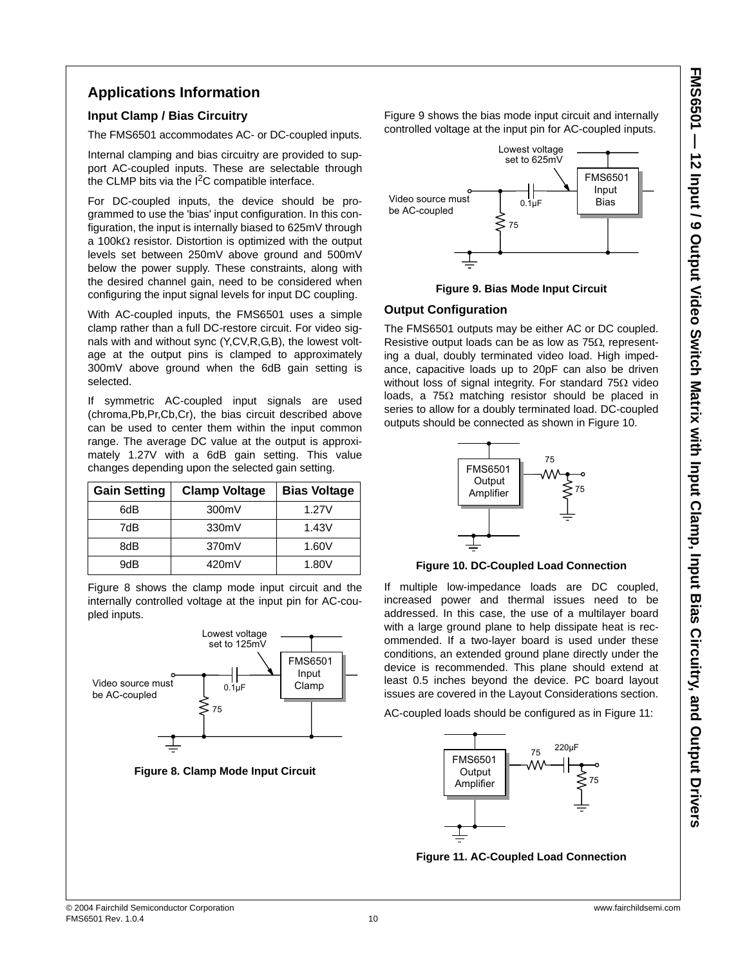### **Applications Information**

### **Input Clamp / Bias Circuitry**

The FMS6501 accommodates AC- or DC-coupled inputs.

Internal clamping and bias circuitry are provided to support AC-coupled inputs. These are selectable through the CLMP bits via the  $1^2C$  compatible interface.

For DC-coupled inputs, the device should be programmed to use the 'bias' input configuration. In this configuration, the input is internally biased to 625mV through a 100kΩ resistor. Distortion is optimized with the output levels set between 250mV above ground and 500mV below the power supply. These constraints, along with the desired channel gain, need to be considered when configuring the input signal levels for input DC coupling.

With AC-coupled inputs, the FMS6501 uses a simple clamp rather than a full DC-restore circuit. For video signals with and without sync (Y,CV,R,G,B), the lowest voltage at the output pins is clamped to approximately 300mV above ground when the 6dB gain setting is selected.

If symmetric AC-coupled input signals are used (chroma,Pb,Pr,Cb,Cr), the bias circuit described above can be used to center them within the input common range. The average DC value at the output is approximately 1.27V with a 6dB gain setting. This value changes depending upon the selected gain setting.

| <b>Gain Setting</b> | <b>Clamp Voltage</b> |       |
|---------------------|----------------------|-------|
| 6dB                 | 300mV                | 1.27V |
| 7dB                 | 330mV                | 1.43V |
| 8dB                 | 370mV                | 1.60V |
| 9dB                 | 420mV                | 1.80V |

Figure 8 shows the clamp mode input circuit and the internally controlled voltage at the input pin for AC-coupled inputs.



**Figure 8. Clamp Mode Input Circuit**

Figure 9 shows the bias mode input circuit and internally controlled voltage at the input pin for AC-coupled inputs.



**Figure 9. Bias Mode Input Circuit**

### **Output Configuration**

The FMS6501 outputs may be either AC or DC coupled. Resistive output loads can be as low as 75Ω, representing a dual, doubly terminated video load. High impedance, capacitive loads up to 20pF can also be driven without loss of signal integrity. For standard 75Ω video loads, a 75Ω matching resistor should be placed in series to allow for a doubly terminated load. DC-coupled outputs should be connected as shown in Figure 10.



#### **Figure 10. DC-Coupled Load Connection**

If multiple low-impedance loads are DC coupled, increased power and thermal issues need to be addressed. In this case, the use of a multilayer board with a large ground plane to help dissipate heat is recommended. If a two-layer board is used under these conditions, an extended ground plane directly under the device is recommended. This plane should extend at least 0.5 inches beyond the device. PC board layout issues are covered in the Layout Considerations section.

AC-coupled loads should be configured as in Figure 11:



**Figure 11. AC-Coupled Load Connection**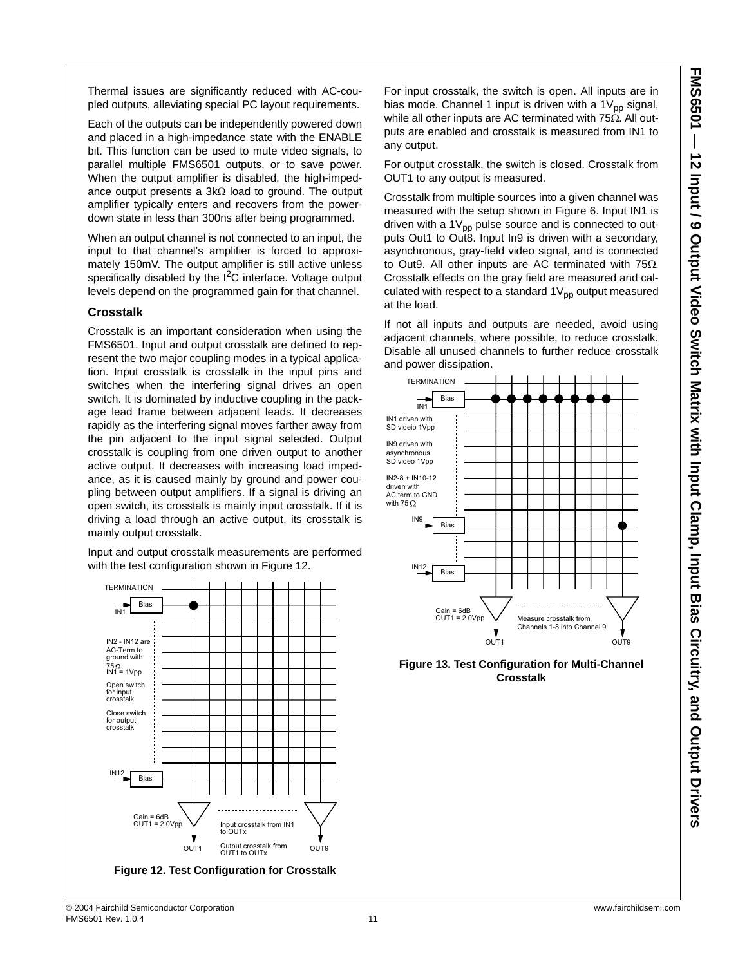Thermal issues are significantly reduced with AC-coupled outputs, alleviating special PC layout requirements.

Each of the outputs can be independently powered down and placed in a high-impedance state with the ENABLE bit. This function can be used to mute video signals, to parallel multiple FMS6501 outputs, or to save power. When the output amplifier is disabled, the high-impedance output presents a 3kΩ load to ground. The output amplifier typically enters and recovers from the powerdown state in less than 300ns after being programmed.

When an output channel is not connected to an input, the input to that channel's amplifier is forced to approximately 150mV. The output amplifier is still active unless specifically disabled by the  $I^2C$  interface. Voltage output levels depend on the programmed gain for that channel.

#### **Crosstalk**

Crosstalk is an important consideration when using the FMS6501. Input and output crosstalk are defined to represent the two major coupling modes in a typical application. Input crosstalk is crosstalk in the input pins and switches when the interfering signal drives an open switch. It is dominated by inductive coupling in the package lead frame between adjacent leads. It decreases rapidly as the interfering signal moves farther away from the pin adjacent to the input signal selected. Output crosstalk is coupling from one driven output to another active output. It decreases with increasing load impedance, as it is caused mainly by ground and power coupling between output amplifiers. If a signal is driving an open switch, its crosstalk is mainly input crosstalk. If it is driving a load through an active output, its crosstalk is mainly output crosstalk.

Input and output crosstalk measurements are performed with the test configuration shown in Figure 12.



For input crosstalk, the switch is open. All inputs are in bias mode. Channel 1 input is driven with a  $1V_{\text{pp}}$  signal, while all other inputs are AC terminated with 75Ω. All outputs are enabled and crosstalk is measured from IN1 to any output.

For output crosstalk, the switch is closed. Crosstalk from OUT1 to any output is measured.

Crosstalk from multiple sources into a given channel was measured with the setup shown in Figure 6. Input IN1 is driven with a  $1V_{\text{op}}$  pulse source and is connected to outputs Out1 to Out8. Input In9 is driven with a secondary, asynchronous, gray-field video signal, and is connected to Out9. All other inputs are AC terminated with 75Ω. Crosstalk effects on the gray field are measured and calculated with respect to a standard  $1V_{\text{pp}}$  output measured at the load.

If not all inputs and outputs are needed, avoid using adjacent channels, where possible, to reduce crosstalk. Disable all unused channels to further reduce crosstalk and power dissipation.



**Figure 13. Test Configuration for Multi-Channel Crosstalk**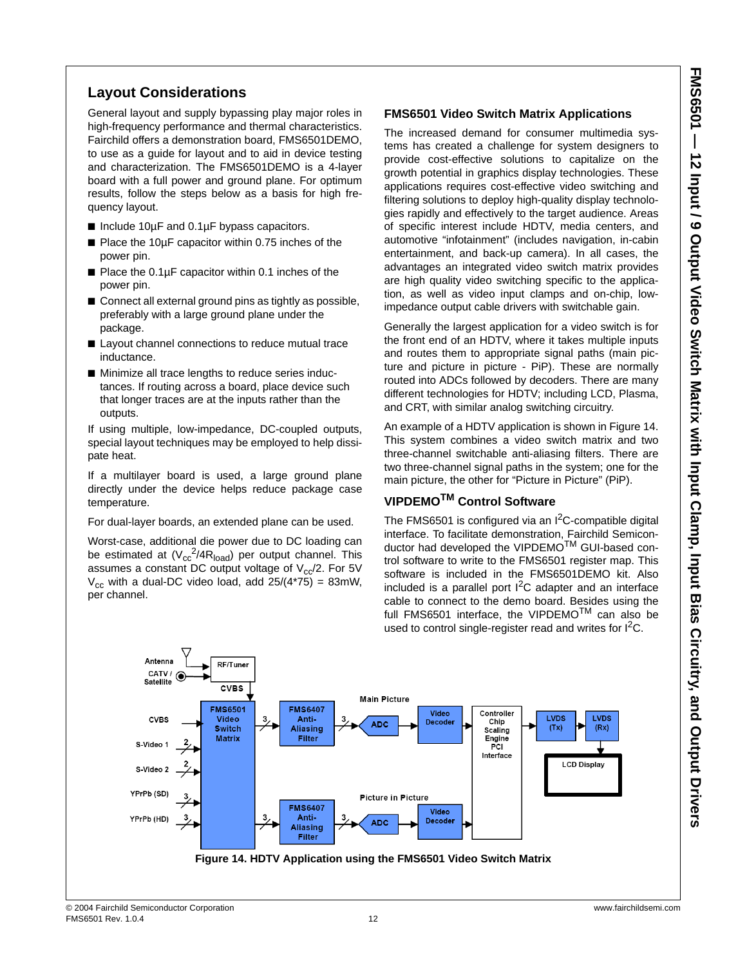### **Layout Considerations**

General layout and supply bypassing play major roles in high-frequency performance and thermal characteristics. Fairchild offers a demonstration board, FMS6501DEMO, to use as a guide for layout and to aid in device testing and characterization. The FMS6501DEMO is a 4-layer board with a full power and ground plane. For optimum results, follow the steps below as a basis for high frequency layout.

- Include 10µF and 0.1µF bypass capacitors.
- Place the 10µF capacitor within 0.75 inches of the power pin.
- Place the 0.1µF capacitor within 0.1 inches of the power pin.
- Connect all external ground pins as tightly as possible, preferably with a large ground plane under the package.
- Layout channel connections to reduce mutual trace inductance.
- Minimize all trace lengths to reduce series inductances. If routing across a board, place device such that longer traces are at the inputs rather than the outputs.

If using multiple, low-impedance, DC-coupled outputs, special layout techniques may be employed to help dissipate heat.

If a multilayer board is used, a large ground plane directly under the device helps reduce package case temperature.

For dual-layer boards, an extended plane can be used.

Worst-case, additional die power due to DC loading can be estimated at  $(V_{cc}^2/4R_{load})$  per output channel. This assumes a constant DC output voltage of  $V_{cc}/2$ . For 5V  $V_{cc}$  with a dual-DC video load, add 25/(4\*75) = 83mW, per channel.

### **FMS6501 Video Switch Matrix Applications**

The increased demand for consumer multimedia systems has created a challenge for system designers to provide cost-effective solutions to capitalize on the growth potential in graphics display technologies. These applications requires cost-effective video switching and filtering solutions to deploy high-quality display technologies rapidly and effectively to the target audience. Areas of specific interest include HDTV, media centers, and automotive "infotainment" (includes navigation, in-cabin entertainment, and back-up camera). In all cases, the advantages an integrated video switch matrix provides are high quality video switching specific to the application, as well as video input clamps and on-chip, lowimpedance output cable drivers with switchable gain.

Generally the largest application for a video switch is for the front end of an HDTV, where it takes multiple inputs and routes them to appropriate signal paths (main picture and picture in picture - PiP). These are normally routed into ADCs followed by decoders. There are many different technologies for HDTV; including LCD, Plasma, and CRT, with similar analog switching circuitry.

An example of a HDTV application is shown in Figure 14. This system combines a video switch matrix and two three-channel switchable anti-aliasing filters. There are two three-channel signal paths in the system; one for the main picture, the other for "Picture in Picture" (PiP).

### **VIPDEMOTM Control Software**

The FMS6501 is configured via an  $I^2C$ -compatible digital interface. To facilitate demonstration, Fairchild Semiconductor had developed the VIPDEMO<sup>™</sup> GUI-based control software to write to the FMS6501 register map. This software is included in the FMS6501DEMO kit. Also included is a parallel port  $1^2C$  adapter and an interface cable to connect to the demo board. Besides using the full FMS6501 interface, the VIPDEMO™ can also be used to control single-register read and writes for  $1^2C$ .

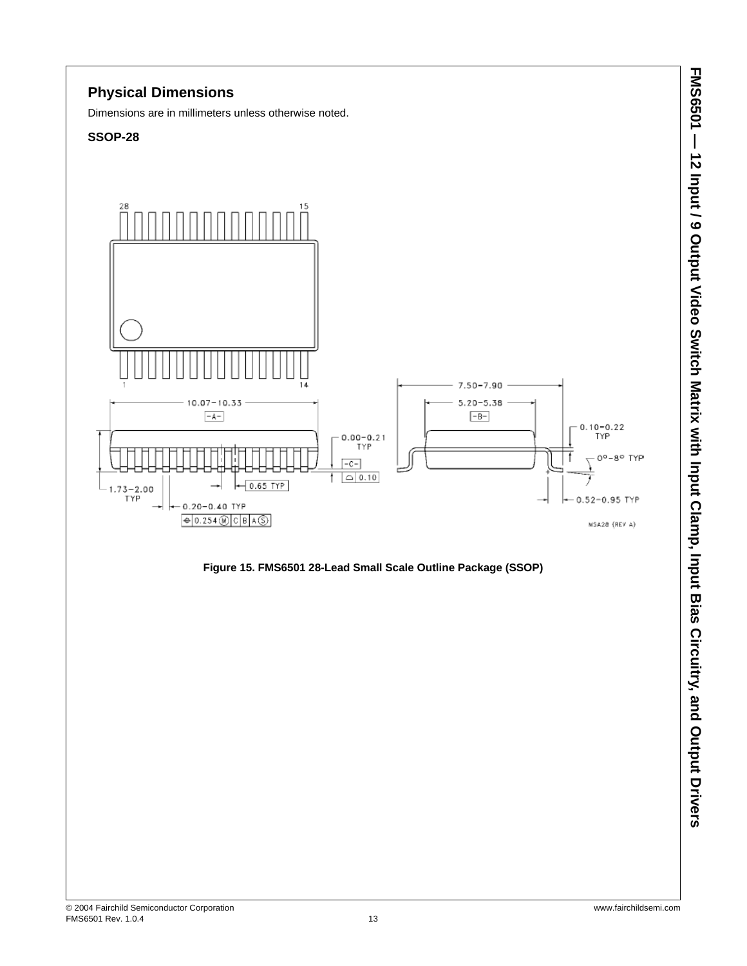